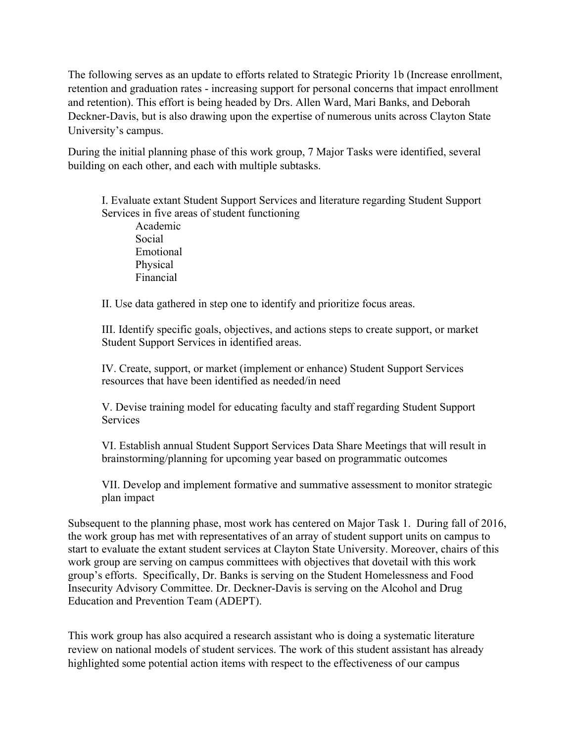The following serves as an update to efforts related to Strategic Priority 1b (Increase enrollment, retention and graduation rates - increasing support for personal concerns that impact enrollment and retention). This effort is being headed by Drs. Allen Ward, Mari Banks, and Deborah Deckner-Davis, but is also drawing upon the expertise of numerous units across Clayton State University's campus.

During the initial planning phase of this work group, 7 Major Tasks were identified, several building on each other, and each with multiple subtasks.

I. Evaluate extant Student Support Services and literature regarding Student Support Services in five areas of student functioning

Academic Social Emotional Physical Financial

II. Use data gathered in step one to identify and prioritize focus areas.

III. Identify specific goals, objectives, and actions steps to create support, or market Student Support Services in identified areas.

IV. Create, support, or market (implement or enhance) Student Support Services resources that have been identified as needed/in need

V. Devise training model for educating faculty and staff regarding Student Support Services

VI. Establish annual Student Support Services Data Share Meetings that will result in brainstorming/planning for upcoming year based on programmatic outcomes

VII. Develop and implement formative and summative assessment to monitor strategic plan impact

Subsequent to the planning phase, most work has centered on Major Task 1. During fall of 2016, the work group has met with representatives of an array of student support units on campus to start to evaluate the extant student services at Clayton State University. Moreover, chairs of this work group are serving on campus committees with objectives that dovetail with this work group's efforts. Specifically, Dr. Banks is serving on the Student Homelessness and Food Insecurity Advisory Committee. Dr. Deckner-Davis is serving on the Alcohol and Drug Education and Prevention Team (ADEPT).

This work group has also acquired a research assistant who is doing a systematic literature review on national models of student services. The work of this student assistant has already highlighted some potential action items with respect to the effectiveness of our campus